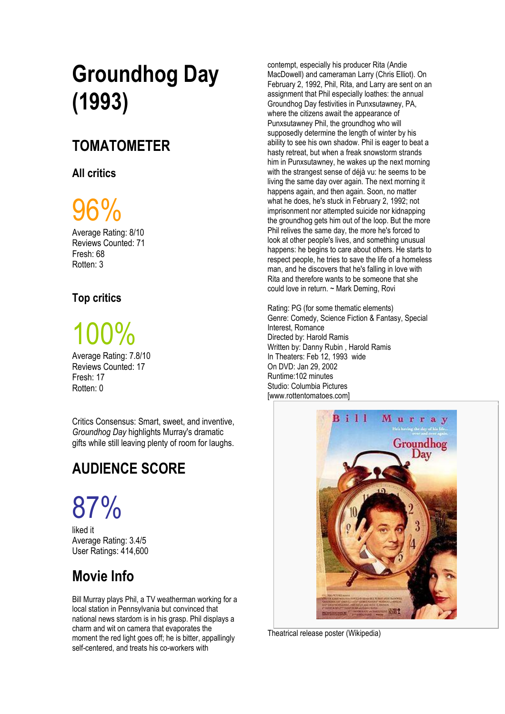## **Groundhog Day (1993)**

### **TOMATOMETER**

#### **All critics**

# $6\%$

Average Rating: 8/10 Reviews Counted: 71 Fresh: 68 Rotten: 3

#### **Top critics**

# [100%](https://www.rottentomatoes.com/m/groundhog_day/#contentReviews)

Average Rating: 7.8/10 Reviews Counted: 17 Fresh: 17 Rotten: 0

Critics Consensus: Smart, sweet, and inventive, *Groundhog Day* highlights Murray's dramatic gifts while still leaving plenty of room for laughs.

## **AUDIENCE SCOR[E](https://www.rottentomatoes.com/m/groundhog_day/#audience_reviews)**

# [87%](https://www.rottentomatoes.com/m/groundhog_day/#audience_reviews)

[liked it](https://www.rottentomatoes.com/m/groundhog_day/#audience_reviews) Average Rating: 3.4/5 User Ratings: 414,600

### **Movie Info**

Bill Murray plays Phil, a TV weatherman working for a local station in Pennsylvania but convinced that national news stardom is in his grasp. Phil displays a charm and wit on camera that evaporates the moment the red light goes off; he is bitter, appallingly self-centered, and treats his co-workers with

contempt, especially his producer Rita (Andie MacDowell) and cameraman Larry (Chris Elliot). On February 2, 1992, Phil, Rita, and Larry are sent on an assignment that Phil especially loathes: the annual Groundhog Day festivities in Punxsutawney, PA, where the citizens await the appearance of Punxsutawney Phil, the groundhog who will supposedly determine the length of winter by his ability to see his own shadow. Phil is eager to beat a hasty retreat, but when a freak snowstorm strands him in Punxsutawney, he wakes up the next morning with the strangest sense of déjà vu: he seems to be living the same day over again. The next morning it happens again, and then again. Soon, no matter what he does, he's stuck in February 2, 1992; not imprisonment nor attempted suicide nor kidnapping the groundhog gets him out of the loop. But the more Phil relives the same day, the more he's forced to look at other people's lives, and something unusual happens: he begins to care about others. He starts to respect people, he tries to save the life of a homeless man, and he discovers that he's falling in love with Rita and therefore wants to be someone that she could love in return. ~ Mark Deming, Rovi

Rating: PG (for some thematic elements) Genre: Comedy, Science Fiction & Fantasy, Special Interest, Romance Directed by: [Harold Ramis](https://www.rottentomatoes.com/celebrity/harold_ramis)  Written by[: Danny Rubin ,](https://www.rottentomatoes.com/celebrity/danny_rubin) [Harold Ramis](https://www.rottentomatoes.com/celebrity/harold_ramis)  In Theaters: Feb 12, 1993 wide On DVD: Jan 29, 2002 Runtime:102 minutes Studio: Columbia Pictures [www.rottentomatoes.com]



Theatrical release poster (Wikipedia)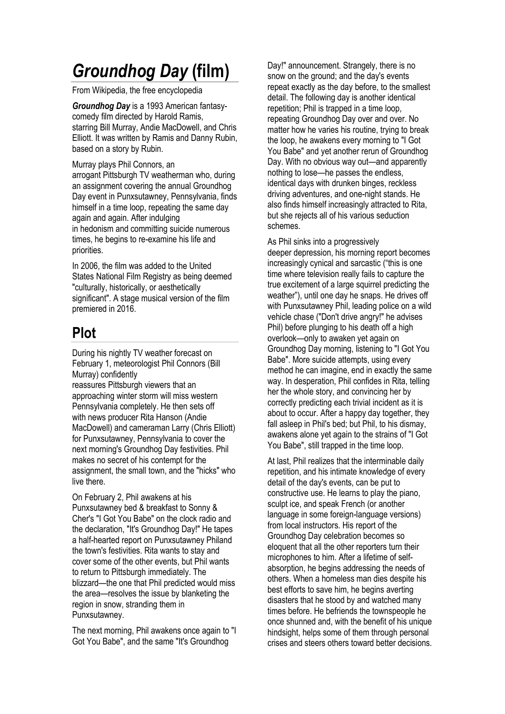## *Groundhog Day* **(film)**

From Wikipedia, the free encyclopedia

*Groundhog Day* is a 1993 American [fantasy](https://en.wikipedia.org/wiki/Fantasy_film)[comedy](https://en.wikipedia.org/wiki/Comedy_film) film directed by [Harold Ramis,](https://en.wikipedia.org/wiki/Harold_Ramis) starring [Bill Murray,](https://en.wikipedia.org/wiki/Bill_Murray) [Andie MacDowell,](https://en.wikipedia.org/wiki/Andie_MacDowell) and [Chris](https://en.wikipedia.org/wiki/Chris_Elliott)  [Elliott.](https://en.wikipedia.org/wiki/Chris_Elliott) It was written by Ramis and [Danny Rubin,](https://en.wikipedia.org/wiki/Danny_Rubin) based on a story by Rubin.

Murray plays Phil Connors, an arrogant [Pittsburgh](https://en.wikipedia.org/wiki/Pittsburgh) TV weatherman who, during an assignment covering the annual [Groundhog](https://en.wikipedia.org/wiki/Groundhog_Day)  [Day](https://en.wikipedia.org/wiki/Groundhog_Day) event in [Punxsutawney, Pennsylvania,](https://en.wikipedia.org/wiki/Punxsutawney,_Pennsylvania) finds himself in a [time loop,](https://en.wikipedia.org/wiki/Time_loop) repeating the same day again and again. After indulging in [hedonism](https://en.wikipedia.org/wiki/Hedonism) and committing [suicide](https://en.wikipedia.org/wiki/Suicide) numerous times, he begins to re-examine his life and priorities.

In 2006, the film was added to the United States National [Film Registry](https://en.wikipedia.org/wiki/National_Film_Registry) as being deemed "culturally, historically, or aesthetically significant". A stage [musical](https://en.wikipedia.org/wiki/Groundhog_Day_(musical)) version of the film premiered in 2016.

### **Plot**

During his nightly TV weather forecast on February 1, [meteorologist](https://en.wikipedia.org/wiki/Meteorology) Phil Connors [\(Bill](https://en.wikipedia.org/wiki/Bill_Murray)  [Murray\)](https://en.wikipedia.org/wiki/Bill_Murray) confidently

reassures [Pittsburgh](https://en.wikipedia.org/wiki/Pittsburgh,_Pennsylvania) viewers that an approaching winter storm will miss western Pennsylvania completely. He then sets off with [news producer](https://en.wikipedia.org/wiki/News_producer) Rita Hanson [\(Andie](https://en.wikipedia.org/wiki/Andie_MacDowell)  [MacDowell\)](https://en.wikipedia.org/wiki/Andie_MacDowell) and [cameraman](https://en.wikipedia.org/wiki/Camera_operator) Larry [\(Chris Elliott\)](https://en.wikipedia.org/wiki/Chris_Elliott) for [Punxsutawney, Pennsylvania](https://en.wikipedia.org/wiki/Punxsutawney,_Pennsylvania) to cover the next morning's [Groundhog Day](https://en.wikipedia.org/wiki/Groundhog_Day) festivities. Phil makes no secret of his contempt for the assignment, the small town, and the "hicks" who live there.

On February 2, Phil awakens at his Punxsutawney [bed & breakfast](https://en.wikipedia.org/wiki/Bed_%26_breakfast) to [Sonny &](https://en.wikipedia.org/wiki/Sonny_%26_Cher)  [Cher's](https://en.wikipedia.org/wiki/Sonny_%26_Cher) ["I Got You Babe"](https://en.wikipedia.org/wiki/I_Got_You_Babe) on the clock radio and the declaration, "It's Groundhog Day!" He tapes a half-hearted report on [Punxsutawney Phila](https://en.wikipedia.org/wiki/Punxsutawney_Phil)nd the town's festivities. Rita wants to stay and cover some of the other events, but Phil wants to return to Pittsburgh immediately. The blizzard—the one that Phil predicted would miss the area—resolves the issue by blanketing the region in snow, stranding them in Punxsutawney.

The next morning, Phil awakens once again to "I Got You Babe", and the same "It's Groundhog

Day!" announcement. Strangely, there is no snow on the ground; and the day's events repeat exactly as the day before, to the smallest detail. The following day is another identical repetition; Phil is trapped in a [time loop,](https://en.wikipedia.org/wiki/Time_loop) repeating Groundhog Day over and over. No matter how he varies his routine, trying to break the loop, he awakens every morning to "I Got You Babe" and yet another rerun of Groundhog Day. With no obvious way out—and apparently nothing to lose—he passes the endless, identical days with drunken binges, reckless driving adventures, and [one-night stands.](https://en.wikipedia.org/wiki/One-night_stand) He also finds himself increasingly attracted to Rita, but she rejects all of his various seduction schemes.

As Phil sinks into a progressively deeper [depression,](https://en.wikipedia.org/wiki/Major_depressive_disorder) his morning report becomes increasingly cynical and sarcastic ("this is one time where television really fails to capture the true excitement of a large squirrel predicting the weather"), until one day he snaps. He drives off with Punxsutawney Phil, leading police on a wild vehicle chase ("Don't drive angry!" he advises Phil) before plunging to his death off a high overlook—only to awaken yet again on Groundhog Day morning, listening to "I Got You Babe". More suicide attempts, using every method he can imagine, end in exactly the same way. In desperation, Phil confides in Rita, telling her the whole story, and convincing her by correctly predicting each trivial incident as it is about to occur. After a happy day together, they fall asleep in Phil's bed; but Phil, to his dismay, awakens alone yet again to the strains of "I Got You Babe", still trapped in the time loop.

At last, Phil realizes that the interminable daily repetition, and his intimate knowledge of every detail of the day's events, can be put to constructive use. He learns to play the piano, sculpt ice, and speak French (or another language in some foreign-language versions) from local instructors. His report of the Groundhog Day celebration becomes so eloquent that all the other reporters turn their microphones to him. After a lifetime of selfabsorption, he begins addressing the needs of others. When a homeless man dies despite his best efforts to save him, he begins averting disasters that he stood by and watched many times before. He befriends the townspeople he once shunned and, with the benefit of his unique hindsight, helps some of them through personal crises and steers others toward better decisions.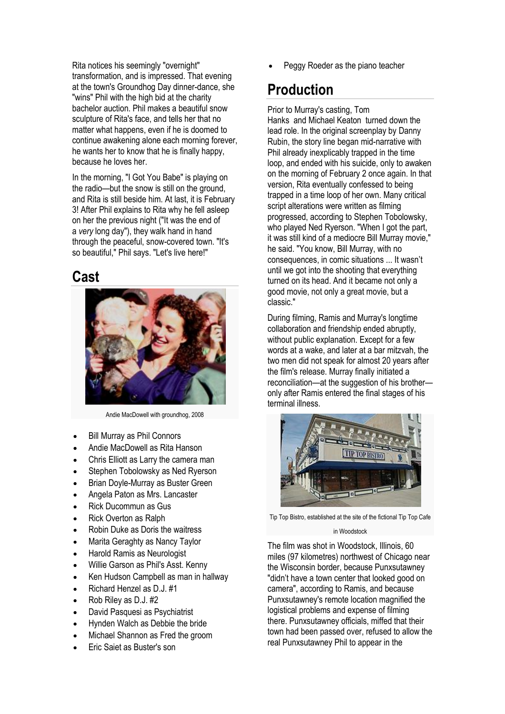Rita notices his seemingly "overnight" transformation, and is impressed. That evening at the town's Groundhog Day dinner-dance, she "wins" Phil with the high bid at the charity bachelor auction. Phil makes a beautiful snow sculpture of Rita's face, and tells her that no matter what happens, even if he is doomed to continue awakening alone each morning forever, he wants her to know that he is finally happy, because he loves her.

In the morning, "I Got You Babe" is playing on the radio—but the snow is still on the ground, and Rita is still beside him. At last, it is February 3! After Phil explains to Rita why he fell asleep on her the previous night ("It was the end of a *very* long day"), they walk hand in hand through the peaceful, snow-covered town. "It's so beautiful," Phil says. "Let's live here!"

#### **Cast**



Andie MacDowell with groundhog, 2008

- [Bill Murray](https://en.wikipedia.org/wiki/Bill_Murray) as Phil Connors
- [Andie MacDowell](https://en.wikipedia.org/wiki/Andie_MacDowell) as Rita Hanson
- [Chris Elliott](https://en.wikipedia.org/wiki/Chris_Elliott) as Larry the camera man
- [Stephen Tobolowsky](https://en.wikipedia.org/wiki/Stephen_Tobolowsky) as Ned Ryerson
- [Brian Doyle-Murray](https://en.wikipedia.org/wiki/Brian_Doyle-Murray) as Buster Green
- [Angela Paton](https://en.wikipedia.org/wiki/Angela_Paton) as Mrs. Lancaster
- [Rick Ducommun](https://en.wikipedia.org/wiki/Rick_Ducommun) as Gus
- [Rick Overton](https://en.wikipedia.org/wiki/Rick_Overton) as Ralph
- [Robin Duke](https://en.wikipedia.org/wiki/Robin_Duke) as Doris the waitress
- [Marita Geraghty](https://en.wikipedia.org/wiki/Marita_Geraghty) as Nancy Taylor
- [Harold Ramis](https://en.wikipedia.org/wiki/Harold_Ramis) as Neurologist
- [Willie Garson](https://en.wikipedia.org/wiki/Willie_Garson) as Phil's Asst. Kenny
- [Ken Hudson Campbell](https://en.wikipedia.org/wiki/Ken_Hudson_Campbell) as man in hallway
- [Richard Henzel](https://en.wikipedia.org/wiki/Richard_Henzel) as D.J. #1
- Rob Riley as D.J. #2
- [David Pasquesi](https://en.wikipedia.org/wiki/David_Pasquesi) as Psychiatrist
- [Hynden Walch](https://en.wikipedia.org/wiki/Hynden_Walch) as Debbie the bride
- [Michael Shannon](https://en.wikipedia.org/wiki/Michael_Shannon) as Fred the groom
- [Eric Saiet](https://en.wikipedia.org/wiki/Eric_Saiet) as Buster's son

Peggy Roeder as the piano teacher

### **Production**

Prior to Murray's casting, [Tom](https://en.wikipedia.org/wiki/Tom_Hanks)  [Hanks](https://en.wikipedia.org/wiki/Tom_Hanks) and [Michael Keaton](https://en.wikipedia.org/wiki/Michael_Keaton) turned down the lead role. In the original screenplay by [Danny](https://en.wikipedia.org/wiki/Danny_Rubin)  [Rubin,](https://en.wikipedia.org/wiki/Danny_Rubin) the story line began [mid-narrative](https://en.wikipedia.org/wiki/In_medias_res) with Phil already inexplicably trapped in the time loop, and ended with his suicide, only to awaken on the morning of February 2 once again. In that version, Rita eventually confessed to being trapped in a time loop of her own. Many critical script alterations were written as filming progressed, according to [Stephen Tobolowsky,](https://en.wikipedia.org/wiki/Stephen_Tobolowsky) who played Ned Ryerson. "When I got the part, it was still kind of a mediocre Bill Murray movie," he said. "You know, Bill Murray, with no consequences, in comic situations ... It wasn't until we got into the shooting that everything turned on its head. And it became not only a good movie, not only a great movie, but a classic."

During filming, Ramis and Murray's longtime collaboration and friendship ended abruptly, without public explanation. Except for a few words at a wake, and later at a bar mitzvah, the two men did not speak for almost 20 years after the film's release. Murray finally initiated a reconciliation—at the suggestion of his brother only after Ramis entered the final stages of his terminal illness.



Tip Top Bistro, established at the site of the fictional Tip Top Cafe

#### in Woodstock

The film was shot in [Woodstock, Illinois,](https://en.wikipedia.org/wiki/Woodstock,_Illinois) 60 miles (97 kilometres) northwest of [Chicago](https://en.wikipedia.org/wiki/Chicago) near the [Wisconsin](https://en.wikipedia.org/wiki/Wisconsin) border, because Punxsutawney "didn't have a town center that looked good on camera", according to Ramis, and because Punxsutawney's remote location magnified the logistical problems and expense of filming there. Punxsutawney officials, miffed that their town had been passed over, refused to allow the real Punxsutawney Phil to appear in the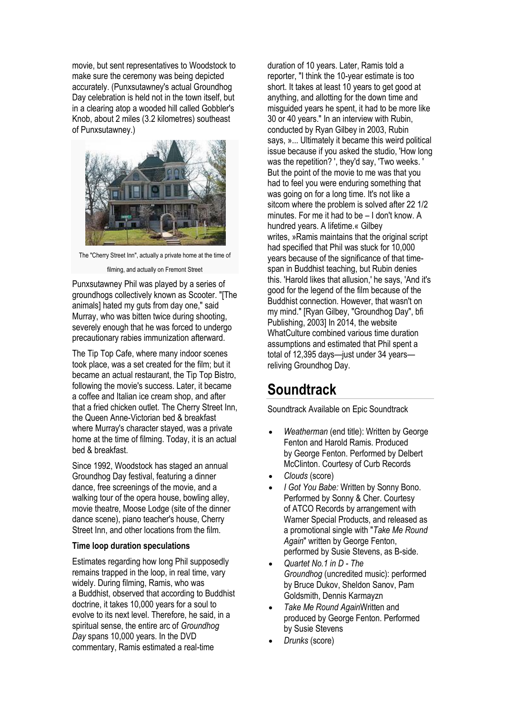movie, but sent representatives to Woodstock to make sure the ceremony was being depicted accurately. (Punxsutawney's actual Groundhog Day celebration is held not in the town itself, but in a clearing atop a wooded hill called [Gobbler's](https://en.wikipedia.org/wiki/Gobbler%27s_Knob)  [Knob,](https://en.wikipedia.org/wiki/Gobbler%27s_Knob) about 2 miles (3.2 kilometres) southeast of Punxsutawney.)



The "Cherry Street Inn", actually a private home at the time of

filming, and actually on Fremont Street

Punxsutawney Phil was played by a series of groundhogs collectively known as Scooter. "[The animals] hated my guts from day one," said Murray, who was bitten twice during shooting, severely enough that he was forced to undergo precautionary [rabies immunization](https://en.wikipedia.org/wiki/Rabies_vaccine) afterward.

The Tip Top Cafe, where many indoor scenes took place, was a set created for the film; but it became an actual restaurant, the Tip Top Bistro, following the movie's success. Later, it became a coffee and Italian ice cream shop, and after that a fried chicken outlet. The Cherry Street Inn, the [Queen Anne-](https://en.wikipedia.org/wiki/Queen_Anne_style_architecture)[Victorian](https://en.wikipedia.org/wiki/Victorian_architecture) bed & breakfast where Murray's character stayed, was a private home at the time of filming. Today, it is an actual bed & breakfast.

Since 1992, Woodstock has staged an annual Groundhog Day festival, featuring a dinner dance, free screenings of the movie, and a walking tour of the opera house, bowling alley, movie theatre, Moose Lodge (site of the dinner dance scene), piano teacher's house, Cherry Street Inn, and other locations from the film.

#### **Time loop duration speculations**

Estimates regarding how long Phil supposedly remains trapped in the loop, in real time, vary widely. During filming, Ramis, who was a [Buddhist,](https://en.wikipedia.org/wiki/Buddhism) observed that according to Buddhist doctrine, it takes 10,000 years for a soul to evolve to its next level. Therefore, he said, in a spiritual sense, the entire arc of *Groundhog Day* spans 10,000 years. In the DVD commentary, Ramis estimated a real-time

duration of 10 years. Later, Ramis told a reporter, "I think the 10-year estimate is too short. It takes at least 10 years to get good at anything, and allotting for the down time and misguided years he spent, it had to be more like 30 or 40 years." In an interview with Rubin, conducted by Ryan Gilbey in 2003, Rubin says, »... Ultimately it became this weird political issue because if you asked the studio, 'How long was the repetition? ', they'd say, 'Two weeks. ' But the point of the movie to me was that you had to feel you were enduring something that was going on for a long time. It's not like a sitcom where the problem is solved after 22 1/2 minutes. For me it had to be – I don't know. A hundred years. A lifetime.« Gilbey writes, »Ramis maintains that the original script had specified that Phil was stuck for 10,000 years because of the significance of that timespan in Buddhist teaching, but Rubin denies this. 'Harold likes that allusion,' he says, 'And it's good for the legend of the film because of the Buddhist connection. However, that wasn't on my mind." [Ryan Gilbey, "Groundhog Day", bfi Publishing, 2003] In 2014, the website WhatCulture combined various time duration assumptions and estimated that Phil spent a total of 12,395 days—just under 34 years reliving Groundhog Day.

### **Soundtrack**

Soundtrack Available on [Epic Soundtrack](https://en.wikipedia.org/wiki/Epic_Records)

- *Weatherman* (end title): Written by [George](https://en.wikipedia.org/wiki/George_Fenton)  [Fenton](https://en.wikipedia.org/wiki/George_Fenton) and [Harold Ramis.](https://en.wikipedia.org/wiki/Harold_Ramis) Produced by [George Fenton.](https://en.wikipedia.org/wiki/George_Fenton) Performed by [Delbert](https://en.wikipedia.org/wiki/Delbert_McClinton)  [McClinton.](https://en.wikipedia.org/wiki/Delbert_McClinton) Courtesy of [Curb Records](https://en.wikipedia.org/wiki/Curb_Records)
- *Clouds* (score)
- *[I Got You Babe:](https://en.wikipedia.org/wiki/I_Got_You_Babe)* Written by [Sonny Bono.](https://en.wikipedia.org/wiki/Sonny_Bono) Performed by [Sonny & Cher.](https://en.wikipedia.org/wiki/Sonny_%26_Cher) Courtesy of [ATCO Records](https://en.wikipedia.org/wiki/ATCO_Records) by arrangement with Warner Special Products, and released as a promotional single with "*Take Me Round Again*" written by George Fenton, performed by Susie Stevens, as B-side.
- *Quartet No.1 in D - The Groundhog* (uncredited music): performed by Bruce Dukov, Sheldon Sanov, Pam Goldsmith, Dennis Karmayzn
- *Take Me Round Again*Written and produced by [George Fenton.](https://en.wikipedia.org/wiki/George_Fenton) Performed by [Susie Stevens](https://en.wikipedia.org/w/index.php?title=Susie_Stevens&action=edit&redlink=1)
- *Drunks* (score)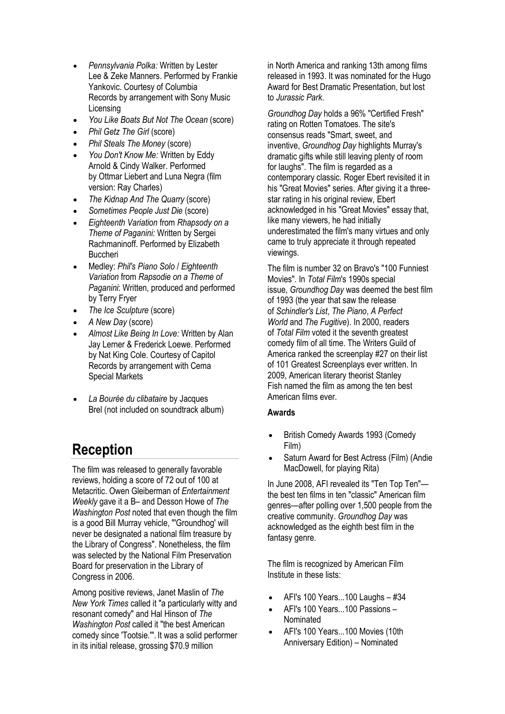- *[Pennsylvania Polka:](https://en.wikipedia.org/w/index.php?title=Pennsylvania_Polka&action=edit&redlink=1)* Written by [Lester](https://en.wikipedia.org/w/index.php?title=Lester_Lee&action=edit&redlink=1)  [Lee](https://en.wikipedia.org/w/index.php?title=Lester_Lee&action=edit&redlink=1) & [Zeke Manners.](https://en.wikipedia.org/wiki/Zeke_Manners) Performed by [Frankie](https://en.wikipedia.org/wiki/Frankie_Yankovic)  [Yankovic.](https://en.wikipedia.org/wiki/Frankie_Yankovic) Courtesy of [Columbia](https://en.wikipedia.org/wiki/Columbia_Records)  [Records](https://en.wikipedia.org/wiki/Columbia_Records) by arrangement with Sony Music Licensing
- *You Like Boats But Not The Ocean* (score)
- *Phil Getz The Girl* (score)
- *Phil Steals The Money* (score)
- *[You Don't Know Me:](https://en.wikipedia.org/wiki/You_Don%27t_Know_Me_(Eddy_Arnold_song))* Written by [Eddy](https://en.wikipedia.org/wiki/Eddy_Arnold)  [Arnold](https://en.wikipedia.org/wiki/Eddy_Arnold) & [Cindy Walker.](https://en.wikipedia.org/wiki/Cindy_Walker) Performed by [Ottmar Liebert](https://en.wikipedia.org/wiki/Ottmar_Liebert) and [Luna Negra](https://en.wikipedia.org/wiki/Luna_Negra) (film version: [Ray Charles\)](https://en.wikipedia.org/wiki/Ray_Charles)
- *The Kidnap And The Quarry* (score)
- *Sometimes People Just Die* (score)
- *Eighteenth Variation* from *[Rhapsody on a](https://en.wikipedia.org/wiki/Rhapsody_on_a_Theme_of_Paganini)  [Theme of Paganini:](https://en.wikipedia.org/wiki/Rhapsody_on_a_Theme_of_Paganini)* Written by [Sergei](https://en.wikipedia.org/wiki/Sergei_Rachmaninoff)  [Rachmaninoff.](https://en.wikipedia.org/wiki/Sergei_Rachmaninoff) Performed by Elizabeth **Buccheri**
- Medley: *Phil's Piano Solo* / *Eighteenth Variation* from *Rapsodie on a Theme of Paganini*: Written, produced and performed by [Terry Fryer](https://en.wikipedia.org/w/index.php?title=Terry_Fryer&action=edit&redlink=1)
- *The Ice Sculpture* (score)
- *A New Day* (score)
- *[Almost Like Being In Love:](https://en.wikipedia.org/wiki/Almost_Like_Being_In_Love)* Written by [Alan](https://en.wikipedia.org/wiki/Alan_Jay_Lerner)  [Jay Lerner](https://en.wikipedia.org/wiki/Alan_Jay_Lerner) & [Frederick Loewe.](https://en.wikipedia.org/wiki/Frederick_Loewe) Performed by [Nat King Cole.](https://en.wikipedia.org/wiki/Nat_King_Cole) Courtesy of [Capitol](https://en.wikipedia.org/wiki/Capitol_Records)  [Records](https://en.wikipedia.org/wiki/Capitol_Records) by arrangement with Cema Special Markets
- *La Bourée du clibataire* by [Jacques](https://en.wikipedia.org/wiki/Jacques_Brel)  [Brel](https://en.wikipedia.org/wiki/Jacques_Brel) (not included on soundtrack album)

#### **Reception**

The film was released to generally favorable reviews, holding a score of 72 out of 100 at Metacritic. [Owen Gleiberman](https://en.wikipedia.org/wiki/Owen_Gleiberman) of *[Entertainment](https://en.wikipedia.org/wiki/Entertainment_Weekly)  [Weekly](https://en.wikipedia.org/wiki/Entertainment_Weekly)* gave it a B– and [Desson Howe](https://en.wikipedia.org/wiki/Desson_Howe) of *[The](https://en.wikipedia.org/wiki/The_Washington_Post)  [Washington Post](https://en.wikipedia.org/wiki/The_Washington_Post)* noted that even though the film is a good Bill Murray vehicle, "'Groundhog' will never be designated a national film treasure by the Library of Congress". Nonetheless, the film was selected by the [National Film Preservation](https://en.wikipedia.org/wiki/National_Film_Preservation_Board)  [Board](https://en.wikipedia.org/wiki/National_Film_Preservation_Board) for preservation in the [Library of](https://en.wikipedia.org/wiki/Library_of_Congress)  [Congress](https://en.wikipedia.org/wiki/Library_of_Congress) in 2006.

Among positive reviews, Janet Maslin of *[The](https://en.wikipedia.org/wiki/The_New_York_Times)  [New York Times](https://en.wikipedia.org/wiki/The_New_York_Times)* called it "a particularly witty and resonant comedy" and Hal Hinson of *The Washington Post* called it "the best American comedy since 'Tootsie.'". It was a solid performer in its initial release, grossing \$70.9 million

in [North America](https://en.wikipedia.org/wiki/North_America) and ranking [13th among films](https://en.wikipedia.org/wiki/1993_in_film)  [released in 1993.](https://en.wikipedia.org/wiki/1993_in_film) It was nominated for the [Hugo](https://en.wikipedia.org/wiki/Hugo_Award_for_Best_Dramatic_Presentation)  [Award for Best Dramatic Presentation,](https://en.wikipedia.org/wiki/Hugo_Award_for_Best_Dramatic_Presentation) but lost to *[Jurassic Park](https://en.wikipedia.org/wiki/Jurassic_Park_(film))*.

*Groundhog Day* holds a 96% "Certified Fresh" rating on [Rotten Tomatoes.](https://en.wikipedia.org/wiki/Rotten_Tomatoes) The site's consensus reads "Smart, sweet, and inventive, *Groundhog Day* highlights Murray's dramatic gifts while still leaving plenty of room for laughs". The film is regarded as a contemporary classic. [Roger Ebert](https://en.wikipedia.org/wiki/Roger_Ebert) revisited it in his "Great Movies" series. After giving it a threestar rating in his original review, Ebert acknowledged in his "Great Movies" essay that, like many viewers, he had initially underestimated the film's many virtues and only came to truly appreciate it through repeated viewings.

The film is number 32 on [Bravo's](https://en.wikipedia.org/wiki/Bravo_(US_TV_channel)) "100 Funniest Movies". In *[Total Film](https://en.wikipedia.org/wiki/Total_Film)*'s 1990s special issue, *Groundhog Day* was deemed the best film of 1993 (the year that saw the release of *[Schindler's List](https://en.wikipedia.org/wiki/Schindler%27s_List)*, *[The Piano](https://en.wikipedia.org/wiki/The_Piano)*, *[A Perfect](https://en.wikipedia.org/wiki/A_Perfect_World)  [World](https://en.wikipedia.org/wiki/A_Perfect_World)* and *[The Fugitive](https://en.wikipedia.org/wiki/The_Fugitive_(1993_film))*). In 2000, readers of *Total Film* voted it the seventh greatest comedy film of all time. The Writers [Guild of](https://en.wikipedia.org/wiki/Writers_Guild_of_America)  [America](https://en.wikipedia.org/wiki/Writers_Guild_of_America) ranked the [screenplay](https://en.wikipedia.org/wiki/Screenplay) #27 on their list of 101 Greatest Screenplays ever written. In 2009, American literary theorist [Stanley](https://en.wikipedia.org/wiki/Stanley_Fish)  [Fish](https://en.wikipedia.org/wiki/Stanley_Fish) named the film as among the ten best American films ever.

#### **Awards**

- [British Comedy Awards](https://en.wikipedia.org/wiki/British_Comedy_Awards) 1993 (Comedy Film)
- [Saturn Award for Best Actress \(Film\)](https://en.wikipedia.org/wiki/Saturn_Award_for_Best_Actress_(Film)) (Andie MacDowell, for playing Rita)

In June 2008, AFI revealed its "Ten Top Ten" the best ten films in ten "classic" American film genres—after polling over 1,500 people from the creative community. *Groundhog Day* was acknowledged as the eighth best film in the fantasy genre.

The film is recognized by [American Film](https://en.wikipedia.org/wiki/American_Film_Institute)  [Institute](https://en.wikipedia.org/wiki/American_Film_Institute) in these lists:

- $\bullet$  [AFI's 100 Years...100 Laughs](https://en.wikipedia.org/wiki/AFI%27s_100_Years...100_Laughs)  $-$  #34
- [AFI's 100 Years...100 Passions](https://en.wikipedia.org/wiki/AFI%27s_100_Years...100_Passions) Nominated
- [AFI's 100 Years...100 Movies \(10th](https://en.wikipedia.org/wiki/AFI%27s_100_Years...100_Movies_(10th_Anniversary_Edition))  [Anniversary Edition\)](https://en.wikipedia.org/wiki/AFI%27s_100_Years...100_Movies_(10th_Anniversary_Edition)) – Nominated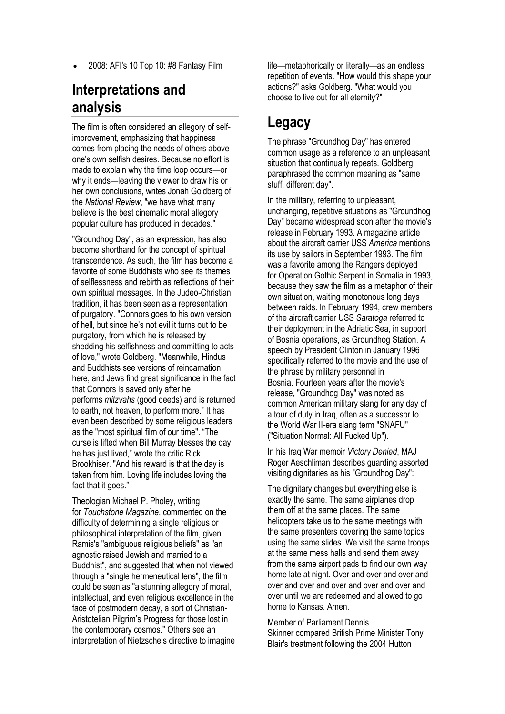2008: [AFI's 10 Top 10:](https://en.wikipedia.org/wiki/AFI%27s_10_Top_10) #8 Fantasy Film

#### **Interpretations and analysis**

The film is often considered an allegory of [self](https://en.wikipedia.org/wiki/Self-help)[improvement,](https://en.wikipedia.org/wiki/Self-help) emphasizing that happiness comes from placing the needs of others above one's own selfish desires. Because no effort is made to explain why the time loop occurs—or why it ends—leaving the viewer to draw his or her own conclusions, writes Jonah Goldberg of the *[National Review](https://en.wikipedia.org/wiki/National_Review)*, "we have what many believe is the best cinematic moral allegory popular culture has produced in decades."

"Groundhog Day", as an expression, has also become shorthand for the concept of [spiritual](https://en.wikipedia.org/wiki/Transcendence_(philosophy))  [transcendence.](https://en.wikipedia.org/wiki/Transcendence_(philosophy)) As such, the film has become a favorite of some [Buddhists](https://en.wikipedia.org/wiki/Buddhism) who see its themes of selflessness and rebirth as reflections of their own spiritual messages. In the Judeo-Christian tradition, it has been seen as a representation of [purgatory.](https://en.wikipedia.org/wiki/Purgatory) "Connors goes to his own version of hell, but since he's not evil it turns out to be purgatory, from which he is released by shedding his selfishness and committing to acts of love," wrote Goldberg. "Meanwhile, Hindus and Buddhists see versions of reincarnation here, and Jews find great significance in the fact that Connors is saved only after he performs *mitzvahs* (good deeds) and is returned to earth, not heaven, to perform more." It has even been described by some religious leaders as the "most spiritual film of our time". "The curse is lifted when Bill Murray blesses the day he has just lived," wrote the critic Rick Brookhiser. "And his reward is that the day is taken from him. Loving life includes loving the fact that it goes."

Theologian Michael P. Pholey, writing for *[Touchstone Magazine](https://en.wikipedia.org/wiki/Touchstone_Magazine)*, commented on the difficulty of determining a single religious or philosophical interpretation of the film, given Ramis's "ambiguous religious beliefs" as "an agnostic raised Jewish and married to a Buddhist", and suggested that when not viewed through a "single hermeneutical lens", the film could be seen as "a stunning allegory of moral, intellectual, and even religious excellence in the face of postmodern decay, a sort of Christian-Aristotelian [Pilgrim's Progress](https://en.wikipedia.org/wiki/The_Pilgrim%27s_Progress) for those lost in the contemporary cosmos." Others see an interpretation of [Nietzsche](https://en.wikipedia.org/wiki/Nietzsche)'s directive to imagine life—metaphorically or literally—as an endless repetition of events. "How would this shape your actions?" asks Goldberg. "What would you choose to live out for all eternity?"

#### **Legacy**

The phrase "Groundhog Day" has entered common usage as a reference to an unpleasant situation that continually repeats. Goldberg paraphrased the common meaning as "same stuff, different day".

In the [military,](https://en.wikipedia.org/wiki/Military) referring to unpleasant, unchanging, repetitive situations as "Groundhog Day" became widespread soon after the movie's release in February 1993. A magazine article about the aircraft carrier USS *[America](https://en.wikipedia.org/wiki/USS_America_(CV-66))* mentions its use by sailors in September 1993. The film was a favorite among the Rangers deployed for [Operation Gothic Serpent](https://en.wikipedia.org/wiki/Operation_Gothic_Serpent) in [Somalia](https://en.wikipedia.org/wiki/Somalia) in 1993, because they saw the film as a metaphor of their own situation, waiting monotonous long days between raids. In February 1994, crew members of the aircraft carrier USS *[Saratoga](https://en.wikipedia.org/wiki/USS_Saratoga_(CV-60))* referred to their deployment in the Adriatic Sea, in support of [Bosnia](https://en.wikipedia.org/wiki/Bosnia_and_Herzegovina) operations, as Groundhog Station. A speech by [President Clinton](https://en.wikipedia.org/wiki/Bill_Clinton) in January 1996 specifically referred to the movie and the use of the phrase by military personnel in Bosnia. Fourteen years after the movie's release, "Groundhog Day" was noted as common American [military slang](https://en.wikipedia.org/wiki/Military_slang) for any day of a tour of duty in Iraq, often as a successor to the [World War II-](https://en.wikipedia.org/wiki/World_War_II)era slang term ["SNAFU"](https://en.wiktionary.org/wiki/SNAFU) ("Situation Normal: All Fucked Up").

In his Iraq War memoir *Victory Denied*, MAJ Roger Aeschliman describes guarding assorted visiting dignitaries as his "Groundhog Day":

The dignitary changes but everything else is exactly the same. The same airplanes drop them off at the same places. The same helicopters take us to the same meetings with the same presenters covering the same topics using the same slides. We visit the same troops at the same mess halls and send them away from the same airport pads to find our own way home late at night. Over and over and over and over and over and over and over and over and over until we are redeemed and allowed to go home to Kansas. Amen.

[Member of Parliament](https://en.wikipedia.org/wiki/Member_of_Parliament) [Dennis](https://en.wikipedia.org/wiki/Dennis_Skinner)  [Skinner](https://en.wikipedia.org/wiki/Dennis_Skinner) compared [British Prime Minister](https://en.wikipedia.org/wiki/Prime_Minister_of_the_United_Kingdom) [Tony](https://en.wikipedia.org/wiki/Tony_Blair)  [Blair'](https://en.wikipedia.org/wiki/Tony_Blair)s treatment following the 2004 [Hutton](https://en.wikipedia.org/wiki/Hutton_Inquiry)